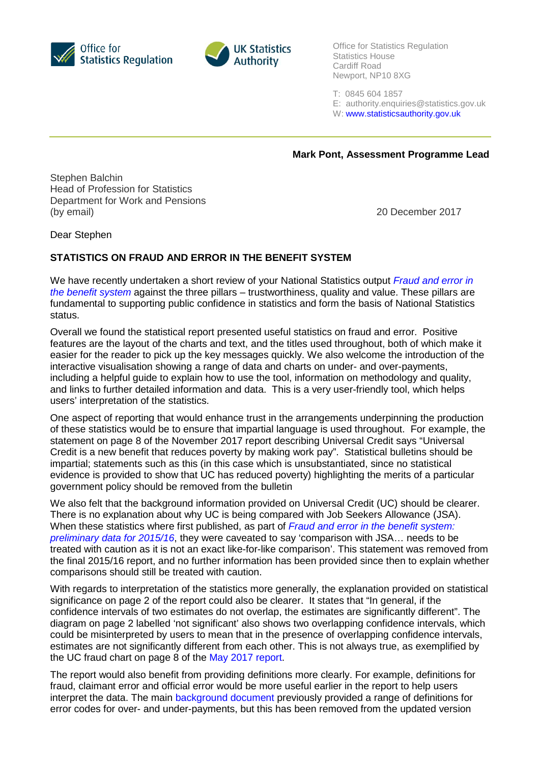



Office for Statistics Regulation Statistics House Cardiff Road Newport, NP10 8XG

T: 0845 604 1857

E: [authority.enquiries@statistics.gov.uk](mailto:authority.enquiries@statistics.gov.uk)

W[: www.statisticsauthority.gov.uk](http://www.statisticsauthority.gov.uk/)

**Mark Pont, Assessment Programme Lead**

Stephen Balchin Head of Profession for Statistics Department for Work and Pensions (by email) 20 December 2017

Dear Stephen

## **STATISTICS ON FRAUD AND ERROR IN THE BENEFIT SYSTEM**

We have recently undertaken a short review of your National Statistics output *[Fraud and error in](https://www.gov.uk/government/collections/fraud-and-error-in-the-benefit-system)  [the benefit system](https://www.gov.uk/government/collections/fraud-and-error-in-the-benefit-system)* against the three pillars – trustworthiness, quality and value. These pillars are fundamental to supporting public confidence in statistics and form the basis of National Statistics status.

Overall we found the statistical report presented useful statistics on fraud and error. Positive features are the layout of the charts and text, and the titles used throughout, both of which make it easier for the reader to pick up the key messages quickly. We also welcome the introduction of the interactive visualisation showing a range of data and charts on under- and over-payments, including a helpful guide to explain how to use the tool, information on methodology and quality, and links to further detailed information and data. This is a very user-friendly tool, which helps users' interpretation of the statistics.

One aspect of reporting that would enhance trust in the arrangements underpinning the production of these statistics would be to ensure that impartial language is used throughout. For example, the statement on page 8 of the November 2017 report describing Universal Credit says "Universal Credit is a new benefit that reduces poverty by making work pay". Statistical bulletins should be impartial; statements such as this (in this case which is unsubstantiated, since no statistical evidence is provided to show that UC has reduced poverty) highlighting the merits of a particular government policy should be removed from the bulletin

We also felt that the background information provided on Universal Credit (UC) should be clearer. There is no explanation about why UC is being compared with Job Seekers Allowance (JSA). When these statistics where first published, as part of *[Fraud and error in the benefit system:](https://www.gov.uk/government/uploads/system/uploads/attachment_data/file/528719/fraud-and-error-prelim-estimates-2015-16.pdf)  [preliminary data for 2015/16](https://www.gov.uk/government/uploads/system/uploads/attachment_data/file/528719/fraud-and-error-prelim-estimates-2015-16.pdf)*, they were caveated to say 'comparison with JSA… needs to be treated with caution as it is not an exact like-for-like comparison'. This statement was removed from the final 2015/16 report, and no further information has been provided since then to explain whether comparisons should still be treated with caution.

With regards to interpretation of the statistics more generally, the explanation provided on statistical significance on page 2 of the report could also be clearer. It states that "In general, if the confidence intervals of two estimates do not overlap, the estimates are significantly different". The diagram on page 2 labelled 'not significant' also shows two overlapping confidence intervals, which could be misinterpreted by users to mean that in the presence of overlapping confidence intervals, estimates are not significantly different from each other. This is not always true, as exemplified by the UC fraud chart on page 8 of the May [2017 report.](https://www.gov.uk/government/uploads/system/uploads/attachment_data/file/614558/fraud-and-error-preliminary-estimates-2016-17.pdf)

The report would also benefit from providing definitions more clearly. For example, definitions for fraud, claimant error and official error would be more useful earlier in the report to help users interpret the data. The main [background document](https://www.gov.uk/government/uploads/system/uploads/attachment_data/file/664709/fraud-and-error-background-and-methodology.pdf) previously provided a range of definitions for error codes for over- and under-payments, but this has been removed from the updated version